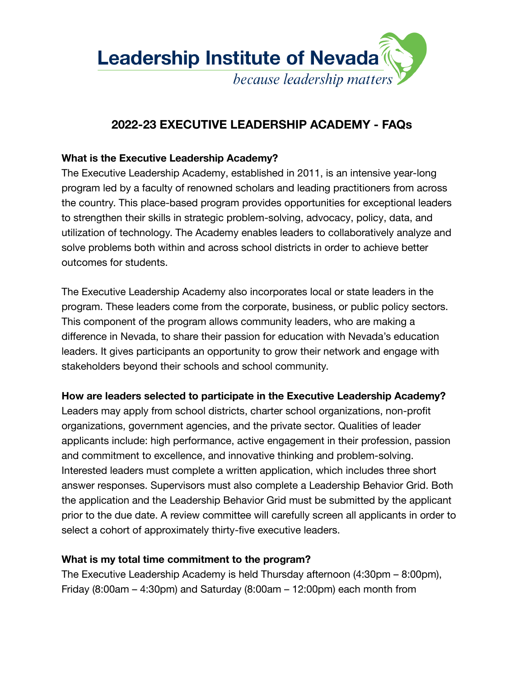

# **2022-23 EXECUTIVE LEADERSHIP ACADEMY - FAQs**

### **What is the Executive Leadership Academy?**

The Executive Leadership Academy, established in 2011, is an intensive year-long program led by a faculty of renowned scholars and leading practitioners from across the country. This place-based program provides opportunities for exceptional leaders to strengthen their skills in strategic problem-solving, advocacy, policy, data, and utilization of technology. The Academy enables leaders to collaboratively analyze and solve problems both within and across school districts in order to achieve better outcomes for students.

The Executive Leadership Academy also incorporates local or state leaders in the program. These leaders come from the corporate, business, or public policy sectors. This component of the program allows community leaders, who are making a difference in Nevada, to share their passion for education with Nevada's education leaders. It gives participants an opportunity to grow their network and engage with stakeholders beyond their schools and school community.

#### **How are leaders selected to participate in the Executive Leadership Academy?**

Leaders may apply from school districts, charter school organizations, non-profit organizations, government agencies, and the private sector. Qualities of leader applicants include: high performance, active engagement in their profession, passion and commitment to excellence, and innovative thinking and problem-solving. Interested leaders must complete a written application, which includes three short answer responses. Supervisors must also complete a Leadership Behavior Grid. Both the application and the Leadership Behavior Grid must be submitted by the applicant prior to the due date. A review committee will carefully screen all applicants in order to select a cohort of approximately thirty-five executive leaders.

#### **What is my total time commitment to the program?**

The Executive Leadership Academy is held Thursday afternoon (4:30pm – 8:00pm), Friday  $(8:00am - 4:30pm)$  and Saturday  $(8:00am - 12:00pm)$  each month from